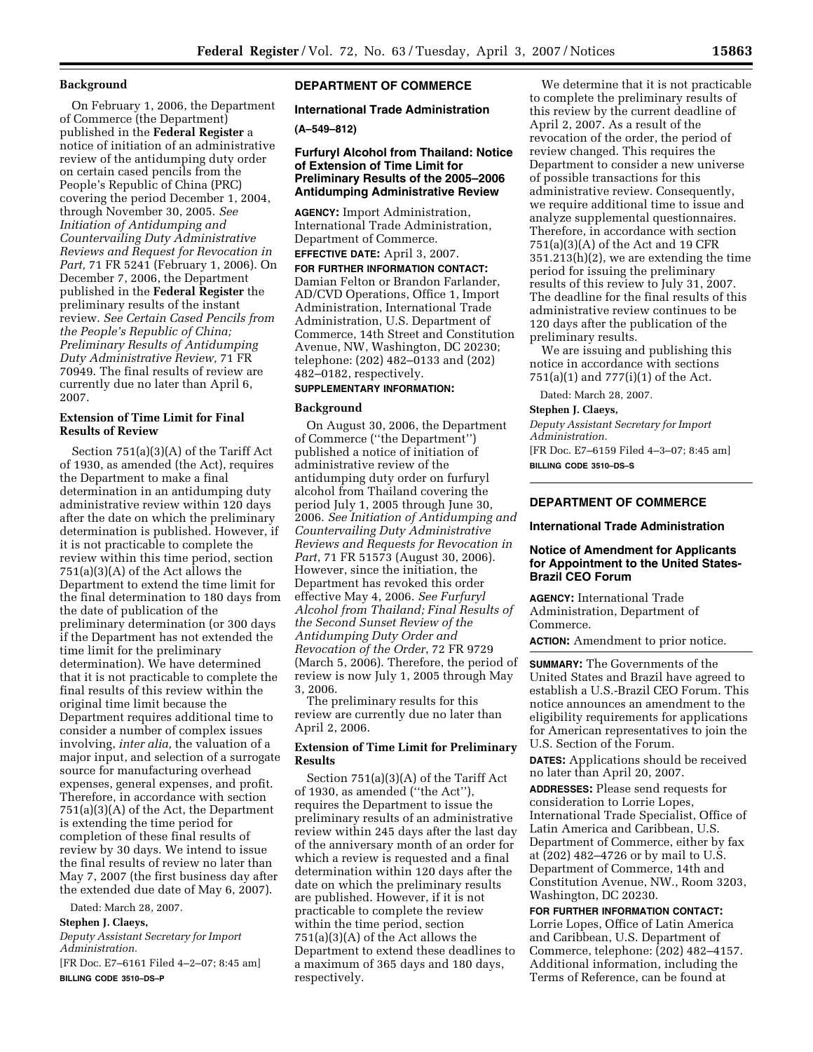#### **Background**

On February 1, 2006, the Department of Commerce (the Department) published in the **Federal Register** a notice of initiation of an administrative review of the antidumping duty order on certain cased pencils from the People's Republic of China (PRC) covering the period December 1, 2004, through November 30, 2005. *See Initiation of Antidumping and Countervailing Duty Administrative Reviews and Request for Revocation in Part,* 71 FR 5241 (February 1, 2006). On December 7, 2006, the Department published in the **Federal Register** the preliminary results of the instant review. *See Certain Cased Pencils from the People's Republic of China; Preliminary Results of Antidumping Duty Administrative Review,* 71 FR 70949. The final results of review are currently due no later than April 6, 2007.

## **Extension of Time Limit for Final Results of Review**

Section 751(a)(3)(A) of the Tariff Act of 1930, as amended (the Act), requires the Department to make a final determination in an antidumping duty administrative review within 120 days after the date on which the preliminary determination is published. However, if it is not practicable to complete the review within this time period, section 751(a)(3)(A) of the Act allows the Department to extend the time limit for the final determination to 180 days from the date of publication of the preliminary determination (or 300 days if the Department has not extended the time limit for the preliminary determination). We have determined that it is not practicable to complete the final results of this review within the original time limit because the Department requires additional time to consider a number of complex issues involving, *inter alia,* the valuation of a major input, and selection of a surrogate source for manufacturing overhead expenses, general expenses, and profit. Therefore, in accordance with section 751(a)(3)(A) of the Act, the Department is extending the time period for completion of these final results of review by 30 days. We intend to issue the final results of review no later than May 7, 2007 (the first business day after the extended due date of May 6, 2007).

Dated: March 28, 2007.

**Stephen J. Claeys,** 

*Deputy Assistant Secretary for Import Administration.* 

[FR Doc. E7–6161 Filed 4–2–07; 8:45 am] **BILLING CODE 3510–DS–P** 

# **DEPARTMENT OF COMMERCE**

# **International Trade Administration**

#### **(A–549–812)**

#### **Furfuryl Alcohol from Thailand: Notice of Extension of Time Limit for Preliminary Results of the 2005–2006 Antidumping Administrative Review**

**AGENCY:** Import Administration, International Trade Administration, Department of Commerce.

**EFFECTIVE DATE:** April 3, 2007. **FOR FURTHER INFORMATION CONTACT:**  Damian Felton or Brandon Farlander, AD/CVD Operations, Office 1, Import Administration, International Trade Administration, U.S. Department of Commerce, 14th Street and Constitution Avenue, NW, Washington, DC 20230; telephone: (202) 482–0133 and (202) 482–0182, respectively.

#### **SUPPLEMENTARY INFORMATION:**

#### **Background**

On August 30, 2006, the Department of Commerce (''the Department'') published a notice of initiation of administrative review of the antidumping duty order on furfuryl alcohol from Thailand covering the period July 1, 2005 through June 30, 2006. *See Initiation of Antidumping and Countervailing Duty Administrative Reviews and Requests for Revocation in Part*, 71 FR 51573 (August 30, 2006). However, since the initiation, the Department has revoked this order effective May 4, 2006. *See Furfuryl Alcohol from Thailand; Final Results of the Second Sunset Review of the Antidumping Duty Order and Revocation of the Order*, 72 FR 9729 (March 5, 2006). Therefore, the period of review is now July 1, 2005 through May 3, 2006.

The preliminary results for this review are currently due no later than April 2, 2006.

#### **Extension of Time Limit for Preliminary Results**

Section 751(a)(3)(A) of the Tariff Act of 1930, as amended (''the Act''), requires the Department to issue the preliminary results of an administrative review within 245 days after the last day of the anniversary month of an order for which a review is requested and a final determination within 120 days after the date on which the preliminary results are published. However, if it is not practicable to complete the review within the time period, section 751(a)(3)(A) of the Act allows the Department to extend these deadlines to a maximum of 365 days and 180 days, respectively.

We determine that it is not practicable to complete the preliminary results of this review by the current deadline of April 2, 2007. As a result of the revocation of the order, the period of review changed. This requires the Department to consider a new universe of possible transactions for this administrative review. Consequently, we require additional time to issue and analyze supplemental questionnaires. Therefore, in accordance with section 751(a)(3)(A) of the Act and 19 CFR 351.213(h)(2), we are extending the time period for issuing the preliminary results of this review to July 31, 2007. The deadline for the final results of this administrative review continues to be 120 days after the publication of the preliminary results.

We are issuing and publishing this notice in accordance with sections 751(a)(1) and 777(i)(1) of the Act.

Dated: March 28, 2007.

## **Stephen J. Claeys,**

*Deputy Assistant Secretary for Import Administration.*  [FR Doc. E7–6159 Filed 4–3–07; 8:45 am]

**BILLING CODE 3510–DS–S** 

# **DEPARTMENT OF COMMERCE**

#### **International Trade Administration**

#### **Notice of Amendment for Applicants for Appointment to the United States-Brazil CEO Forum**

**AGENCY:** International Trade Administration, Department of Commerce.

**ACTION:** Amendment to prior notice.

**SUMMARY:** The Governments of the United States and Brazil have agreed to establish a U.S.-Brazil CEO Forum. This notice announces an amendment to the eligibility requirements for applications for American representatives to join the U.S. Section of the Forum.

**DATES:** Applications should be received no later than April 20, 2007.

**ADDRESSES:** Please send requests for consideration to Lorrie Lopes, International Trade Specialist, Office of Latin America and Caribbean, U.S. Department of Commerce, either by fax at (202) 482–4726 or by mail to U.S. Department of Commerce, 14th and Constitution Avenue, NW., Room 3203, Washington, DC 20230.

**FOR FURTHER INFORMATION CONTACT:**  Lorrie Lopes, Office of Latin America and Caribbean, U.S. Department of Commerce, telephone: (202) 482–4157. Additional information, including the Terms of Reference, can be found at